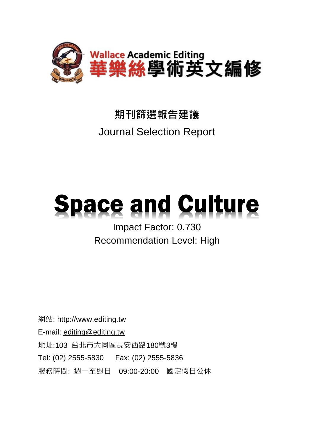

## **期刊篩選報告建議** Journal Selection Report

# **Space and Culture**

## Impact Factor: 0.730 Recommendation Level: High

網站: http://www.editing.tw E-mail: [editing@editing.tw](mailto:editing@editing.tw) 地址:103 台北市大同區長安西路180號3樓 Tel: (02) 2555-5830 Fax: (02) 2555-5836 服務時間: 週一至週日 09:00-20:00 國定假日公休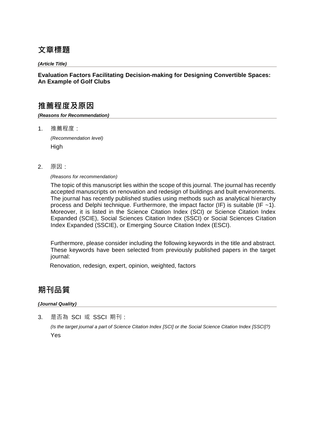## **文章標題**

*(Article Title)*

#### **Evaluation Factors Facilitating Decision-making for Designing Convertible Spaces: An Example of Golf Clubs**

### **推薦程度及原因**

*(Reasons for Recommendation)*

1. 推薦程度:

*(Recommendation level)* **High** 

2. 原因:

*(Reasons for recommendation)*

The topic of this manuscript lies within the scope of this journal. The journal has recently accepted manuscripts on renovation and redesign of buildings and built environments. The journal has recently published studies using methods such as analytical hierarchy process and Delphi technique. Furthermore, the impact factor (IF) is suitable (IF  $~1$ ). Moreover, it is listed in the Science Citation Index (SCI) or Science Citation Index Expanded (SCIE), Social Sciences Citation Index (SSCI) or Social Sciences Citation Index Expanded (SSCIE), or Emerging Source Citation Index (ESCI).

Furthermore, please consider including the following keywords in the title and abstract. These keywords have been selected from previously published papers in the target journal:

Renovation, redesign, expert, opinion, weighted, factors

## **期刊品質**

*(Journal Quality)*

3. 是否為 SCI 或 SSCI 期刊:

*(Is the target journal a part of Science Citation Index [SCI] or the Social Science Citation Index [SSCI]?)* Yes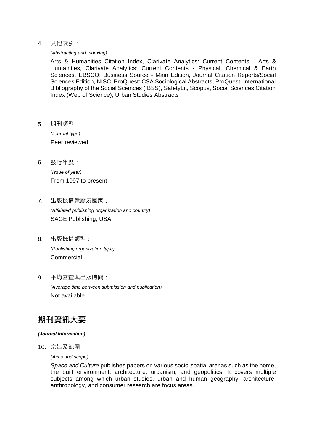4. 其他索引:

*(Abstracting and Indexing)*

Arts & Humanities Citation Index, Clarivate Analytics: Current Contents - Arts & Humanities, Clarivate Analytics: Current Contents - Physical, Chemical & Earth Sciences, EBSCO: Business Source - Main Edition, Journal Citation Reports/Social Sciences Edition, NISC, ProQuest: CSA Sociological Abstracts, ProQuest: International Bibliography of the Social Sciences (IBSS), SafetyLit, Scopus, Social Sciences Citation Index (Web of Science), Urban Studies Abstracts

5. 期刊類型:

*(Journal type)* Peer reviewed

6. 發行年度:

*(Issue of year)* From 1997 to present

- 7. 出版機構隸屬及國家: *(Affiliated publishing organization and country)* SAGE Publishing, USA
- 8. 出版機構類型: *(Publishing organization type)* Commercial
- 9. 平均審查與出版時間:

*(Average time between submission and publication)* Not available

## **期刊資訊大要**

#### *(Journal Information)*

10. 宗旨及範圍:

*(Aims and scope)*

*Space and Culture* publishes papers on various socio-spatial arenas such as the home, the built environment, architecture, urbanism, and geopolitics. It covers multiple subjects among which urban studies, urban and human geography, architecture, anthropology, and consumer research are focus areas.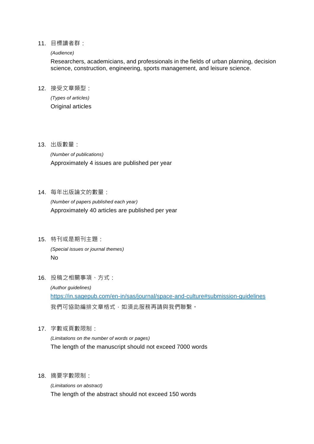#### 11. 目標讀者群:

#### *(Audience)*

Researchers, academicians, and professionals in the fields of urban planning, decision science, construction, engineering, sports management, and leisure science.

12. 接受文章類型:

*(Types of articles)* Original articles

13. 出版數量:

*(Number of publications)* Approximately 4 issues are published per year

14. 每年出版論文的數量:

*(Number of papers published each year)* Approximately 40 articles are published per year

- 15. 特刊或是期刊主題: *(Special issues or journal themes)* No
- 16. 投稿之相關事項、方式:

*(Author guidelines)* https://in.sagepub.com/en-in/sas/journal/space-and-culture#submission-guidelines 我們可協助編排文章格式,如須此服務再請與我們聯繫。

17. 字數或頁數限制:

*(Limitations on the number of words or pages)* The length of the manuscript should not exceed 7000 words

18. 摘要字數限制:

*(Limitations on abstract)* The length of the abstract should not exceed 150 words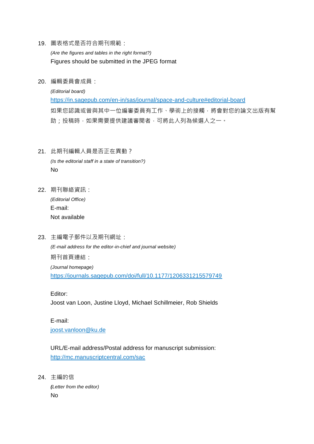- 19. 圖表格式是否符合期刊規範: *(Are the figures and tables in the right format?)* Figures should be submitted in the JPEG format
- 20. 編輯委員會成員:

*(Editorial board)* https://in.sagepub.com/en-in/sas/journal/space-and-culture#editorial-board 如果您認識或曾與其中一位編審委員有工作、學術上的接觸,將會對您的論文出版有幫 助;投稿時,如果需要提供建議審閱者,可將此人列為候選人之一。

- 21. 此期刊編輯人員是否正在異動? *(Is the editorial staff in a state of transition?)* No
- 22. 期刊聯絡資訊: *(Editorial Office)* E-mail: Not available
- 23. 主編電子郵件以及期刊網址: *(E-mail address for the editor-in-chief and journal website)* 期刊首頁連結: *(Journal homepage)* https://journals.sagepub.com/doi/full/10.1177/1206331215579749

Editor:

Joost van Loon, Justine Lloyd, Michael Schillmeier, Rob Shields

E-mail: joost.vanloon@ku.de

URL/E-mail address/Postal address for manuscript submission: http://mc.manuscriptcentral.com/sac

24. 主編的信 *(Letter from the editor)* No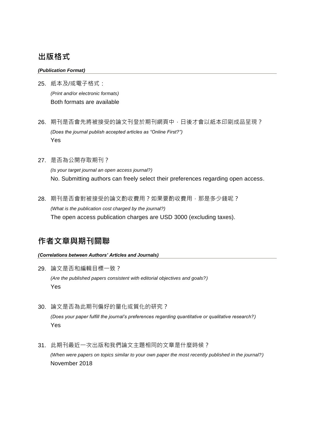## **出版格式**

#### *(Publication Format)*

- 25. 紙本及/或電子格式: *(Print and/or electronic formats)* Both formats are available
- 26. 期刊是否會先將被接受的論文刊登於期刊網頁中,日後才會以紙本印刷成品呈現? *(Does the journal publish accepted articles as "Online First?")* Yes
- 27. 是否為公開存取期刊? *(Is your target journal an open access journal?)* No. Submitting authors can freely select their preferences regarding open access.
- 28. 期刊是否會對被接受的論文酌收費用?如果要酌收費用,那是多少錢呢? *(What is the publication cost charged by the journal?)* The open access publication charges are USD 3000 (excluding taxes).

## **作者文章與期刊關聯**

#### *(Correlations between Authors' Articles and Journals)*

- 29. 論文是否和編輯目標一致? *(Are the published papers consistent with editorial objectives and goals?)* Yes
- 30. 論文是否為此期刊偏好的量化或質化的研究? *(Does your paper fulfill the journal's preferences regarding quantitative or qualitative research?)* Yes
- 31. 此期刊最近一次出版和我們論文主題相同的文章是什麼時候? *(When were papers on topics similar to your own paper the most recently published in the journal?)* November 2018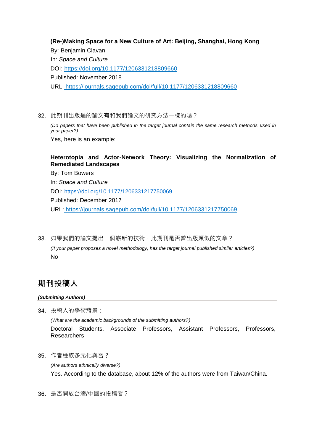**(Re-)Making Space for a New Culture of Art: Beijing, Shanghai, Hong Kong** By: Benjamin Clavan In: *Space and Culture* DOI: https://doi.org/10.1177/1206331218809660 Published: November 2018 URL: https://journals.sagepub.com/doi/full/10.1177/1206331218809660

32. 此期刊出版過的論文有和我們論文的研究方法一樣的嗎?

*(Do papers that have been published in the target journal contain the same research methods used in your paper?)*

Yes, here is an example:

#### **Heterotopia and Actor-Network Theory: Visualizing the Normalization of Remediated Landscapes**

By: Tom Bowers In: *Space and Culture* DOI: [https://doi.org/10.1177/1206331217750069](https://doi.org/10.1177%2F1206331217750069) Published: December 2017 URL: https://journals.sagepub.com/doi/full/10.1177/1206331217750069

33. 如果我們的論文提出一個嶄新的技術,此期刊是否曾出版類似的文章? *(If your paper proposes a novel methodology, has the target journal published similar articles?)* No

## **期刊投稿人**

*(Submitting Authors)*

- 34. 投稿人的學術背景: *(What are the academic backgrounds of the submitting authors?)* Doctoral Students, Associate Professors, Assistant Professors, Professors, **Researchers**
- 35. 作者種族多元化與否?

*(Are authors ethnically diverse?)* Yes. According to the database, about 12% of the authors were from Taiwan/China.

36. 是否開放台灣/中國的投稿者?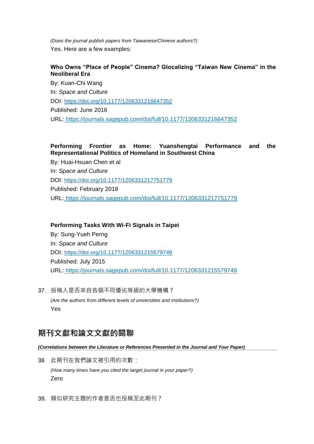*(Does the journal publish papers from Taiwanese/Chinese authors?)* Yes. Here are a few examples:

#### **Who Owns "Place of People" Cinema? Glocalizing "Taiwan New Cinema" in the Neoliberal Era**

By: Kuan-Chi Wang In: *Space and Culture* DOI: [https://doi.org/10.1177/1206331216647352](https://doi.org/10.1177%2F1206331216647352) Published: June 2016 URL: https://journals.sagepub.com/doi/full/10.1177/1206331216647352

#### **Performing Frontier as Home: Yuanshengtai Performance and the Representational Politics of Homeland in Southwest China**

By: Huai-Hsuan Chen et al In: *Space and Culture* DOI: [https://doi.org/10.1177/1206331217751779](https://doi.org/10.1177%2F1206331217751779) Published: February 2018 URL: https://journals.sagepub.com/doi/full/10.1177/1206331217751779

#### **Performing Tasks With Wi-Fi Signals in Taipei**

By: Sung-Yueh Perng In: *Space and Culture* DOI: [https://doi.org/10.1177/1206331215579749](https://doi.org/10.1177%2F1206331215579749) Published: July 2015 URL: https://journals.sagepub.com/doi/full/10.1177/1206331215579749

37. 投稿人是否來自各個不同優劣等級的大學機構? *(Are the authors from different levels of universities and institutions?)* Yes

## **期刊文獻和論文文獻的關聯**

#### *(Correlations between the Literature or References Presented in the Journal and Your Paper)*

- 38. 此期刊在我們論文被引用的次數: *(How many times have you cited the target journal in your paper?)* Zero
- 39. 類似研究主題的作者是否也投稿至此期刊?